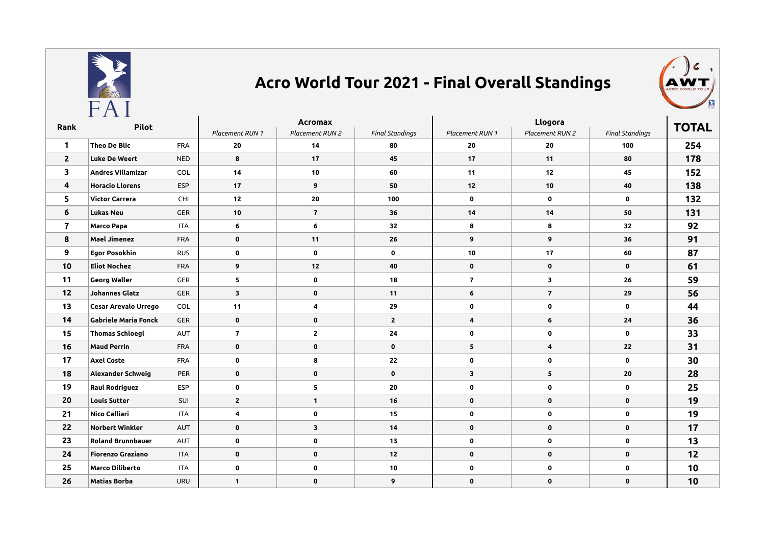

## **Acro World Tour 2021 - Final Overall Standings**



| Rank                    | Pilot                       |            | Acromax                 |                 |                        | Llogora         |                 |                        | <b>TOTAL</b> |
|-------------------------|-----------------------------|------------|-------------------------|-----------------|------------------------|-----------------|-----------------|------------------------|--------------|
|                         |                             |            | Placement RUN 1         | Placement RUN 2 | <b>Final Standings</b> | Placement RUN 1 | Placement RUN 2 | <b>Final Standings</b> |              |
| $\mathbf{1}$            | <b>Theo De Blic</b>         | <b>FRA</b> | 20                      | 14              | 80                     | 20              | 20              | 100                    | 254          |
| $\overline{2}$          | <b>Luke De Weert</b>        | <b>NED</b> | 8                       | 17              | 45                     | 17              | 11              | 80                     | 178          |
| 3                       | <b>Andres Villamizar</b>    | <b>COL</b> | 14                      | 10 <sup>1</sup> | 60                     | 11              | 12              | 45                     | 152          |
| 4                       | <b>Horacio Llorens</b>      | <b>ESP</b> | 17                      | 9               | 50                     | 12              | $10$            | 40                     | 138          |
| 5                       | <b>Victor Carrera</b>       | CHI        | 12                      | 20              | 100                    | 0               | $\mathbf 0$     | $\mathbf 0$            | 132          |
| 6                       | <b>Lukas Neu</b>            | <b>GER</b> | 10                      | $\overline{7}$  | 36                     | 14              | 14              | 50                     | 131          |
| $\overline{\mathbf{r}}$ | Marco Papa                  | <b>ITA</b> | 6                       | 6               | 32                     | 8               | 8               | 32                     | 92           |
| 8                       | <b>Mael Jimenez</b>         | <b>FRA</b> | $\mathbf 0$             | 11              | 26                     | 9               | 9               | 36                     | 91           |
| 9                       | <b>Egor Posokhin</b>        | <b>RUS</b> | $\mathbf 0$             | $\mathbf 0$     | $\mathbf 0$            | 10              | 17              | 60                     | 87           |
| 10                      | <b>Eliot Nochez</b>         | <b>FRA</b> | 9                       | 12              | 40                     | $\mathbf 0$     | $\mathbf 0$     | $\mathbf 0$            | 61           |
| 11                      | <b>Georg Waller</b>         | <b>GER</b> | 5                       | $\mathbf 0$     | 18                     | $\mathbf{7}$    | 3               | 26                     | 59           |
| 12                      | <b>Johannes Glatz</b>       | <b>GER</b> | $\overline{\mathbf{3}}$ | $\mathbf 0$     | 11                     | 6               | $\overline{7}$  | 29                     | 56           |
| 13                      | Cesar Arevalo Urrego        | COL        | 11                      | 4               | 29                     | $\mathbf 0$     | $\mathbf 0$     | $\mathbf 0$            | 44           |
| 14                      | <b>Gabriele Maria Fonck</b> | <b>GER</b> | $\mathbf 0$             | $\mathbf 0$     | $\mathbf{2}$           | 4               | 6               | 24                     | 36           |
| 15                      | <b>Thomas Schloegl</b>      | AUT        | $\overline{7}$          | $\mathbf{2}$    | 24                     | 0               | 0               | 0                      | 33           |
| 16                      | <b>Maud Perrin</b>          | <b>FRA</b> | $\mathbf 0$             | $\mathbf 0$     | $\mathbf 0$            | 5               | 4               | 22                     | 31           |
| 17                      | <b>Axel Coste</b>           | <b>FRA</b> | $\mathbf 0$             | 8               | 22                     | $\mathbf 0$     | $\mathbf 0$     | $\mathbf 0$            | 30           |
| 18                      | Alexander Schweig           | PER        | $\mathbf 0$             | $\mathbf 0$     | $\mathbf 0$            | 3               | 5               | 20                     | 28           |
| 19                      | <b>Raul Rodriguez</b>       | <b>ESP</b> | $\mathbf 0$             | 5               | 20                     | 0               | $\mathbf 0$     | $\mathbf 0$            | 25           |
| 20                      | <b>Louis Sutter</b>         | SUI        | $\overline{2}$          | $\mathbf{1}$    | 16                     | $\mathbf 0$     | $\mathbf 0$     | $\mathbf 0$            | 19           |
| 21                      | Nico Calliari               | <b>ITA</b> | 4                       | $\mathbf 0$     | 15                     | 0               | $\mathbf 0$     | $\mathbf 0$            | 19           |
| 22                      | <b>Norbert Winkler</b>      | <b>AUT</b> | $\mathbf 0$             | 3               | 14                     | $\mathbf 0$     | 0               | $\mathbf 0$            | 17           |
| 23                      | <b>Roland Brunnbauer</b>    | AUT        | $\mathbf 0$             | $\mathbf 0$     | 13                     | $\mathbf 0$     | $\mathbf 0$     | $\mathbf 0$            | 13           |
| 24                      | <b>Fiorenzo Graziano</b>    | <b>ITA</b> | $\mathbf 0$             | $\mathbf 0$     | 12                     | $\mathbf 0$     | $\mathbf 0$     | $\mathbf 0$            | 12           |
| 25                      | <b>Marco Diliberto</b>      | <b>ITA</b> | $\mathbf 0$             | $\mathbf 0$     | 10                     | $\mathbf 0$     | $\mathbf 0$     | $\mathbf 0$            | 10           |
| 26                      | <b>Matias Borba</b>         | URU        | $\mathbf{1}$            | $\mathbf 0$     | 9                      | $\mathbf 0$     | $\mathbf 0$     | $\mathbf 0$            | 10           |